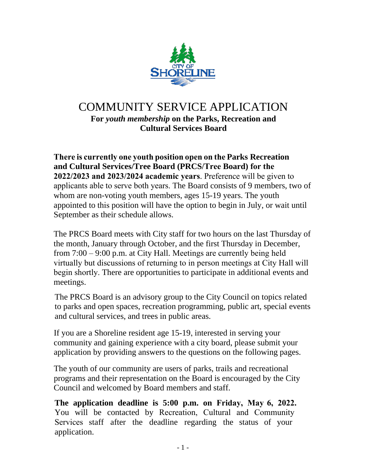

## COMMUNITY SERVICE APPLICATION **For** *youth membership* **on the Parks, Recreation and Cultural Services Board**

**There is currently one youth position open on the Parks Recreation and Cultural Services/Tree Board (PRCS/Tree Board) for the 2022/2023 and 2023/2024 academic years**. Preference will be given to applicants able to serve both years. The Board consists of 9 members, two of whom are non-voting youth members, ages 15-19 years. The youth appointed to this position will have the option to begin in July, or wait until September as their schedule allows.

The PRCS Board meets with City staff for two hours on the last Thursday of the month, January through October, and the first Thursday in December, from 7:00 – 9:00 p.m. at City Hall. Meetings are currently being held virtually but discussions of returning to in person meetings at City Hall will begin shortly. There are opportunities to participate in additional events and meetings.

The PRCS Board is an advisory group to the City Council on topics related to parks and open spaces, recreation programming, public art, special events and cultural services, and trees in public areas.

If you are a Shoreline resident age 15-19, interested in serving your community and gaining experience with a city board, please submit your application by providing answers to the questions on the following pages.

The youth of our community are users of parks, trails and recreational programs and their representation on the Board is encouraged by the City Council and welcomed by Board members and staff.

**The application deadline is 5:00 p.m. on Friday, May 6, 2022.** You will be contacted by Recreation, Cultural and Community Services staff after the deadline regarding the status of your application.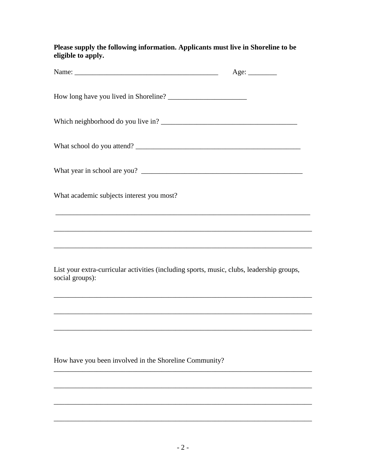Please supply the following information. Applicants must live in Shoreline to be eligible to apply.

|                                                                                                              | Age: |
|--------------------------------------------------------------------------------------------------------------|------|
|                                                                                                              |      |
|                                                                                                              |      |
|                                                                                                              |      |
|                                                                                                              |      |
| What academic subjects interest you most?                                                                    |      |
| ,我们也不会有什么。""我们的人,我们也不会有什么?""我们的人,我们也不会有什么?""我们的人,我们也不会有什么?""我们的人,我们也不会有什么?""我们的人                             |      |
|                                                                                                              |      |
| List your extra-curricular activities (including sports, music, clubs, leadership groups,<br>social groups): |      |
|                                                                                                              |      |
|                                                                                                              |      |
|                                                                                                              |      |
| How have you been involved in the Shoreline Community?                                                       |      |
|                                                                                                              |      |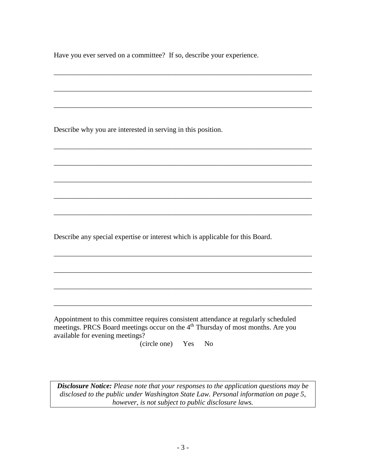Have you ever served on a committee? If so, describe your experience.

\_\_\_\_\_\_\_\_\_\_\_\_\_\_\_\_\_\_\_\_\_\_\_\_\_\_\_\_\_\_\_\_\_\_\_\_\_\_\_\_\_\_\_\_\_\_\_\_\_\_\_\_\_\_\_\_\_\_\_\_\_\_\_\_\_\_\_\_\_\_\_\_

\_\_\_\_\_\_\_\_\_\_\_\_\_\_\_\_\_\_\_\_\_\_\_\_\_\_\_\_\_\_\_\_\_\_\_\_\_\_\_\_\_\_\_\_\_\_\_\_\_\_\_\_\_\_\_\_\_\_\_\_\_\_\_\_\_\_\_\_\_\_\_\_

\_\_\_\_\_\_\_\_\_\_\_\_\_\_\_\_\_\_\_\_\_\_\_\_\_\_\_\_\_\_\_\_\_\_\_\_\_\_\_\_\_\_\_\_\_\_\_\_\_\_\_\_\_\_\_\_\_\_\_\_\_\_\_\_\_\_\_\_\_\_\_\_

\_\_\_\_\_\_\_\_\_\_\_\_\_\_\_\_\_\_\_\_\_\_\_\_\_\_\_\_\_\_\_\_\_\_\_\_\_\_\_\_\_\_\_\_\_\_\_\_\_\_\_\_\_\_\_\_\_\_\_\_\_\_\_\_\_\_\_\_\_\_\_\_

\_\_\_\_\_\_\_\_\_\_\_\_\_\_\_\_\_\_\_\_\_\_\_\_\_\_\_\_\_\_\_\_\_\_\_\_\_\_\_\_\_\_\_\_\_\_\_\_\_\_\_\_\_\_\_\_\_\_\_\_\_\_\_\_\_\_\_\_\_\_\_\_

\_\_\_\_\_\_\_\_\_\_\_\_\_\_\_\_\_\_\_\_\_\_\_\_\_\_\_\_\_\_\_\_\_\_\_\_\_\_\_\_\_\_\_\_\_\_\_\_\_\_\_\_\_\_\_\_\_\_\_\_\_\_\_\_\_\_\_\_\_\_\_\_

\_\_\_\_\_\_\_\_\_\_\_\_\_\_\_\_\_\_\_\_\_\_\_\_\_\_\_\_\_\_\_\_\_\_\_\_\_\_\_\_\_\_\_\_\_\_\_\_\_\_\_\_\_\_\_\_\_\_\_\_\_\_\_\_\_\_\_\_\_\_\_\_

\_\_\_\_\_\_\_\_\_\_\_\_\_\_\_\_\_\_\_\_\_\_\_\_\_\_\_\_\_\_\_\_\_\_\_\_\_\_\_\_\_\_\_\_\_\_\_\_\_\_\_\_\_\_\_\_\_\_\_\_\_\_\_\_\_\_\_\_\_\_\_\_

\_\_\_\_\_\_\_\_\_\_\_\_\_\_\_\_\_\_\_\_\_\_\_\_\_\_\_\_\_\_\_\_\_\_\_\_\_\_\_\_\_\_\_\_\_\_\_\_\_\_\_\_\_\_\_\_\_\_\_\_\_\_\_\_\_\_\_\_\_\_\_\_

\_\_\_\_\_\_\_\_\_\_\_\_\_\_\_\_\_\_\_\_\_\_\_\_\_\_\_\_\_\_\_\_\_\_\_\_\_\_\_\_\_\_\_\_\_\_\_\_\_\_\_\_\_\_\_\_\_\_\_\_\_\_\_\_\_\_\_\_\_\_\_\_

\_\_\_\_\_\_\_\_\_\_\_\_\_\_\_\_\_\_\_\_\_\_\_\_\_\_\_\_\_\_\_\_\_\_\_\_\_\_\_\_\_\_\_\_\_\_\_\_\_\_\_\_\_\_\_\_\_\_\_\_\_\_\_\_\_\_\_\_\_\_\_\_

\_\_\_\_\_\_\_\_\_\_\_\_\_\_\_\_\_\_\_\_\_\_\_\_\_\_\_\_\_\_\_\_\_\_\_\_\_\_\_\_\_\_\_\_\_\_\_\_\_\_\_\_\_\_\_\_\_\_\_\_\_\_\_\_\_\_\_\_\_\_\_\_

Describe why you are interested in serving in this position.

Describe any special expertise or interest which is applicable for this Board.

Appointment to this committee requires consistent attendance at regularly scheduled meetings. PRCS Board meetings occur on the 4<sup>th</sup> Thursday of most months. Are you available for evening meetings?

(circle one) Yes No

*Disclosure Notice: Please note that your responses to the application questions may be disclosed to the public under Washington State Law. Personal information on page 5, however, is not subject to public disclosure laws.*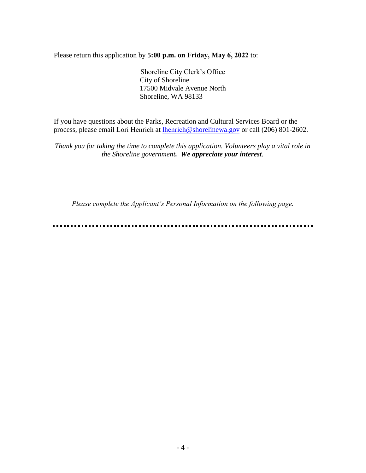Please return this application by **5:00 p.m. on Friday, May 6, 2022** to:

Shoreline City Clerk's Office City of Shoreline 17500 Midvale Avenue North Shoreline, WA 98133

If you have questions about the Parks, Recreation and Cultural Services Board or the process, please email Lori Henrich at lhenrich[@shorelinewa.gov](mailto:lgabrieli@shorelinewa.gov) or call (206) 801-2602.

*Thank you for taking the time to complete this application. Volunteers play a vital role in the Shoreline government. We appreciate your interest.* 

*Please complete the Applicant's Personal Information on the following page.* 

----------------------------------